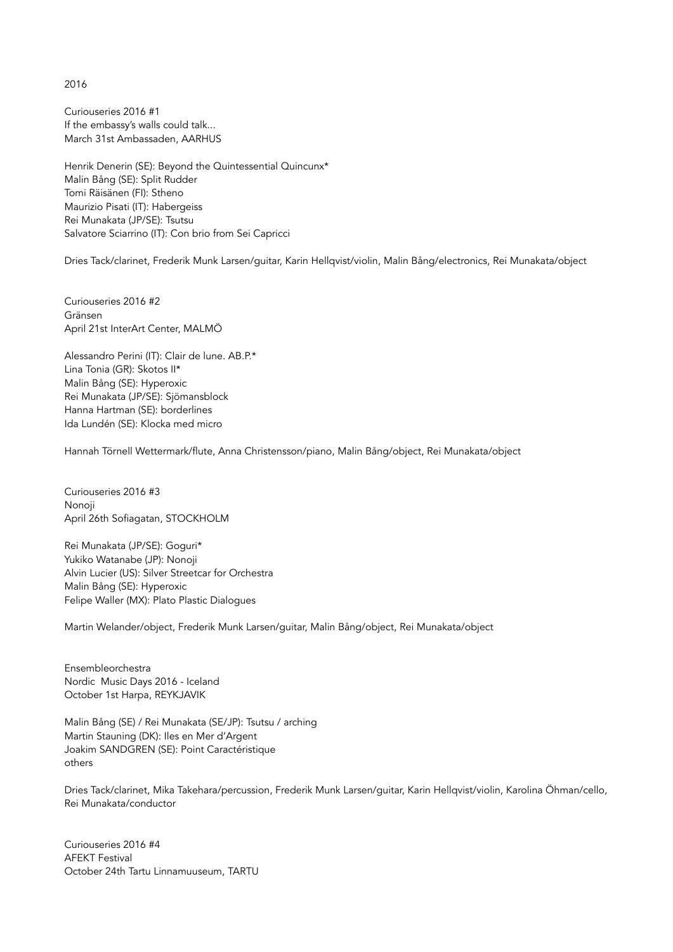2016

Curiouseries 2016 #1 If the embassy's walls could talk... March 31st Ambassaden, AARHUS

Henrik Denerin (SE): Beyond the Quintessential Quincunx\* Malin Bång (SE): Split Rudder Tomi Räisänen (FI): Stheno Maurizio Pisati (IT): Habergeiss Rei Munakata (JP/SE): Tsutsu Salvatore Sciarrino (IT): Con brio from Sei Capricci

Dries Tack/clarinet, Frederik Munk Larsen/guitar, Karin Hellqvist/violin, Malin Bång/electronics, Rei Munakata/object

Curiouseries 2016 #2 Gränsen April 21st InterArt Center, MALMÖ

Alessandro Perini (IT): Clair de lune. AB.P.\* Lina Tonia (GR): Skotos II\* Malin Bång (SE): Hyperoxic Rei Munakata (JP/SE): Sjömansblock Hanna Hartman (SE): borderlines Ida Lundén (SE): Klocka med micro

Hannah Törnell Wettermark/flute, Anna Christensson/piano, Malin Bång/object, Rei Munakata/object

Curiouseries 2016 #3 Nonoji April 26th Sofiagatan, STOCKHOLM

Rei Munakata (JP/SE): Goguri\* Yukiko Watanabe (JP): Nonoji Alvin Lucier (US): Silver Streetcar for Orchestra Malin Bång (SE): Hyperoxic Felipe Waller (MX): Plato Plastic Dialogues

Martin Welander/object, Frederik Munk Larsen/guitar, Malin Bång/object, Rei Munakata/object

Ensembleorchestra Nordic Music Days 2016 - Iceland October 1st Harpa, REYKJAVIK

Malin Bång (SE) / Rei Munakata (SE/JP): Tsutsu / arching Martin Stauning (DK): Iles en Mer d'Argent Joakim SANDGREN (SE): Point Caractéristique others

Dries Tack/clarinet, Mika Takehara/percussion, Frederik Munk Larsen/guitar, Karin Hellqvist/violin, Karolina Öhman/cello, Rei Munakata/conductor

Curiouseries 2016 #4 AFEKT Festival October 24th Tartu Linnamuuseum, TARTU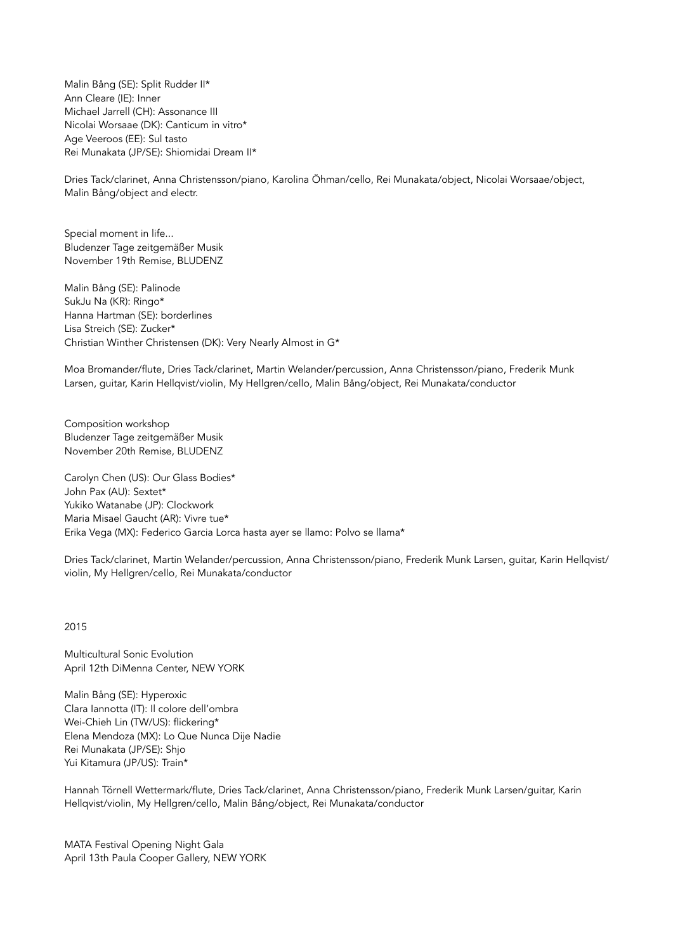Malin Bång (SE): Split Rudder II\* Ann Cleare (IE): Inner Michael Jarrell (CH): Assonance III Nicolai Worsaae (DK): Canticum in vitro\* Age Veeroos (EE): Sul tasto Rei Munakata (JP/SE): Shiomidai Dream II\*

Dries Tack/clarinet, Anna Christensson/piano, Karolina Öhman/cello, Rei Munakata/object, Nicolai Worsaae/object, Malin Bång/object and electr.

Special moment in life... Bludenzer Tage zeitgemäßer Musik November 19th Remise, BLUDENZ

Malin Bång (SE): Palinode SukJu Na (KR): Ringo\* Hanna Hartman (SE): borderlines Lisa Streich (SE): Zucker\* Christian Winther Christensen (DK): Very Nearly Almost in G\*

Moa Bromander/flute, Dries Tack/clarinet, Martin Welander/percussion, Anna Christensson/piano, Frederik Munk Larsen, guitar, Karin Hellqvist/violin, My Hellgren/cello, Malin Bång/object, Rei Munakata/conductor

Composition workshop Bludenzer Tage zeitgemäßer Musik November 20th Remise, BLUDENZ

Carolyn Chen (US): Our Glass Bodies\* John Pax (AU): Sextet\* Yukiko Watanabe (JP): Clockwork Maria Misael Gaucht (AR): Vivre tue\* Erika Vega (MX): Federico Garcia Lorca hasta ayer se llamo: Polvo se llama\*

Dries Tack/clarinet, Martin Welander/percussion, Anna Christensson/piano, Frederik Munk Larsen, guitar, Karin Hellqvist/ violin, My Hellgren/cello, Rei Munakata/conductor

2015

Multicultural Sonic Evolution April 12th DiMenna Center, NEW YORK

Malin Bång (SE): Hyperoxic Clara Iannotta (IT): Il colore dell'ombra Wei-Chieh Lin (TW/US): flickering\* Elena Mendoza (MX): Lo Que Nunca Dije Nadie Rei Munakata (JP/SE): Shjo Yui Kitamura (JP/US): Train\*

Hannah Törnell Wettermark/flute, Dries Tack/clarinet, Anna Christensson/piano, Frederik Munk Larsen/guitar, Karin Hellqvist/violin, My Hellgren/cello, Malin Bång/object, Rei Munakata/conductor

MATA Festival Opening Night Gala April 13th Paula Cooper Gallery, NEW YORK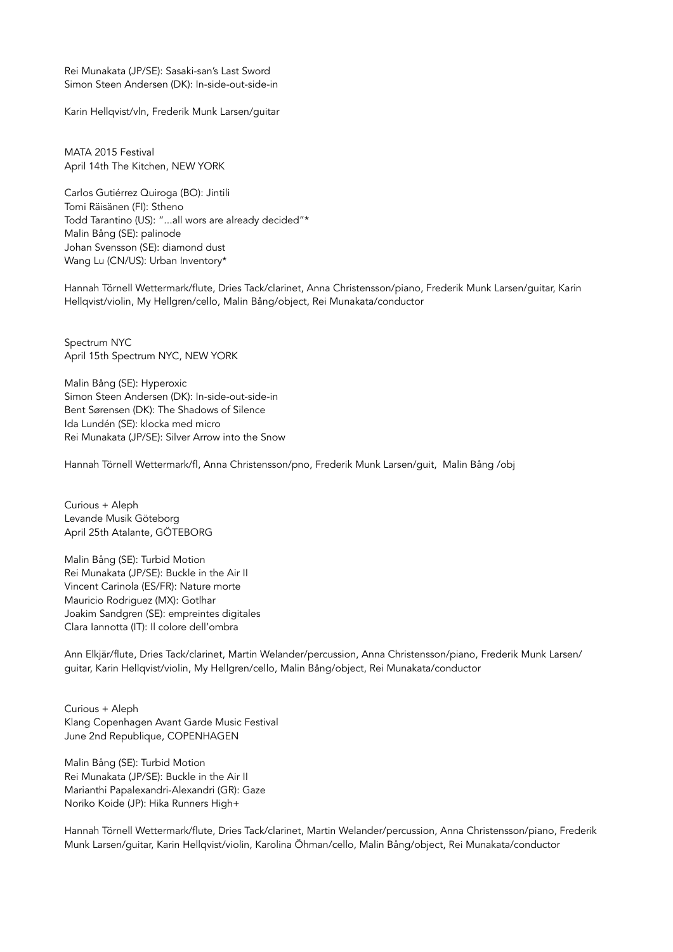Rei Munakata (JP/SE): Sasaki-san's Last Sword Simon Steen Andersen (DK): In-side-out-side-in

Karin Hellqvist/vln, Frederik Munk Larsen/guitar

MATA 2015 Festival April 14th The Kitchen, NEW YORK

Carlos Gutiérrez Quiroga (BO): Jintili Tomi Räisänen (FI): Stheno Todd Tarantino (US): "...all wors are already decided"\* Malin Bång (SE): palinode Johan Svensson (SE): diamond dust Wang Lu (CN/US): Urban Inventory\*

Hannah Törnell Wettermark/flute, Dries Tack/clarinet, Anna Christensson/piano, Frederik Munk Larsen/guitar, Karin Hellqvist/violin, My Hellgren/cello, Malin Bång/object, Rei Munakata/conductor

Spectrum NYC April 15th Spectrum NYC, NEW YORK

Malin Bång (SE): Hyperoxic Simon Steen Andersen (DK): In-side-out-side-in Bent Sørensen (DK): The Shadows of Silence Ida Lundén (SE): klocka med micro Rei Munakata (JP/SE): Silver Arrow into the Snow

Hannah Törnell Wettermark/fl, Anna Christensson/pno, Frederik Munk Larsen/guit, Malin Bång /obj

Curious + Aleph Levande Musik Göteborg April 25th Atalante, GÖTEBORG

Malin Bång (SE): Turbid Motion Rei Munakata (JP/SE): Buckle in the Air II Vincent Carinola (ES/FR): Nature morte Mauricio Rodriguez (MX): Gotlhar Joakim Sandgren (SE): empreintes digitales Clara Iannotta (IT): Il colore dell'ombra

Ann Elkjär/flute, Dries Tack/clarinet, Martin Welander/percussion, Anna Christensson/piano, Frederik Munk Larsen/ guitar, Karin Hellqvist/violin, My Hellgren/cello, Malin Bång/object, Rei Munakata/conductor

Curious + Aleph Klang Copenhagen Avant Garde Music Festival June 2nd Republique, COPENHAGEN

Malin Bång (SE): Turbid Motion Rei Munakata (JP/SE): Buckle in the Air II Marianthi Papalexandri-Alexandri (GR): Gaze Noriko Koide (JP): Hika Runners High+

Hannah Törnell Wettermark/flute, Dries Tack/clarinet, Martin Welander/percussion, Anna Christensson/piano, Frederik Munk Larsen/guitar, Karin Hellqvist/violin, Karolina Öhman/cello, Malin Bång/object, Rei Munakata/conductor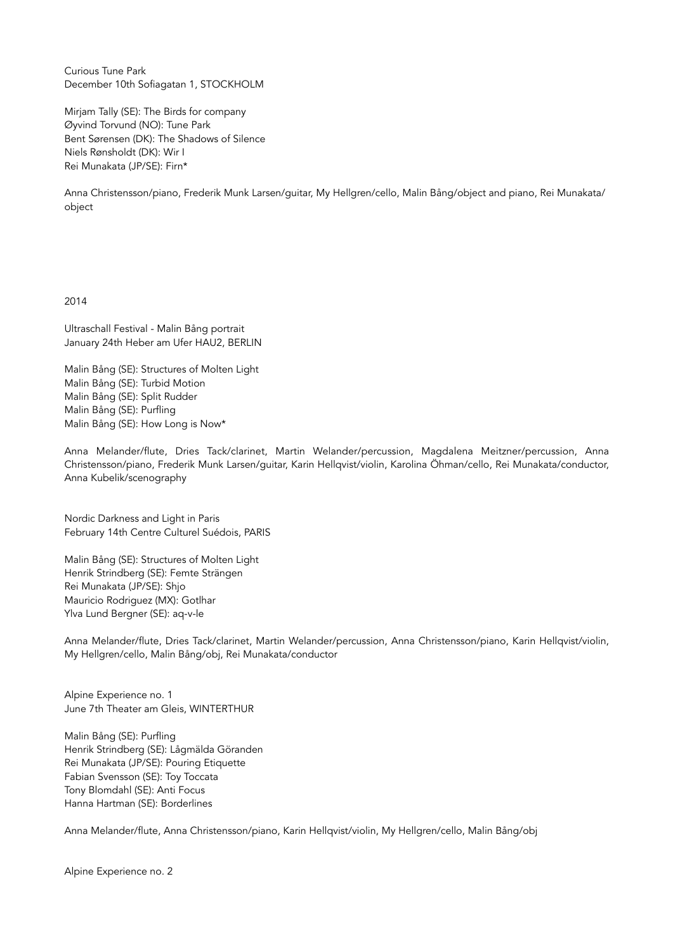Curious Tune Park December 10th Sofiagatan 1, STOCKHOLM

Mirjam Tally (SE): The Birds for company Øyvind Torvund (NO): Tune Park Bent Sørensen (DK): The Shadows of Silence Niels Rønsholdt (DK): Wir I Rei Munakata (JP/SE): Firn\*

Anna Christensson/piano, Frederik Munk Larsen/guitar, My Hellgren/cello, Malin Bång/object and piano, Rei Munakata/ object

2014

Ultraschall Festival - Malin Bång portrait January 24th Heber am Ufer HAU2, BERLIN

Malin Bång (SE): Structures of Molten Light Malin Bång (SE): Turbid Motion Malin Bång (SE): Split Rudder Malin Bång (SE): Purfling Malin Bång (SE): How Long is Now\*

Anna Melander/flute, Dries Tack/clarinet, Martin Welander/percussion, Magdalena Meitzner/percussion, Anna Christensson/piano, Frederik Munk Larsen/guitar, Karin Hellqvist/violin, Karolina Öhman/cello, Rei Munakata/conductor, Anna Kubelik/scenography

Nordic Darkness and Light in Paris February 14th Centre Culturel Suédois, PARIS

Malin Bång (SE): Structures of Molten Light Henrik Strindberg (SE): Femte Strängen Rei Munakata (JP/SE): Shjo Mauricio Rodriguez (MX): Gotlhar Ylva Lund Bergner (SE): aq-v-le

Anna Melander/flute, Dries Tack/clarinet, Martin Welander/percussion, Anna Christensson/piano, Karin Hellqvist/violin, My Hellgren/cello, Malin Bång/obj, Rei Munakata/conductor

Alpine Experience no. 1 June 7th Theater am Gleis, WINTERTHUR

Malin Bång (SE): Purfling Henrik Strindberg (SE): Lågmälda Göranden Rei Munakata (JP/SE): Pouring Etiquette Fabian Svensson (SE): Toy Toccata Tony Blomdahl (SE): Anti Focus Hanna Hartman (SE): Borderlines

Anna Melander/flute, Anna Christensson/piano, Karin Hellqvist/violin, My Hellgren/cello, Malin Bång/obj

Alpine Experience no. 2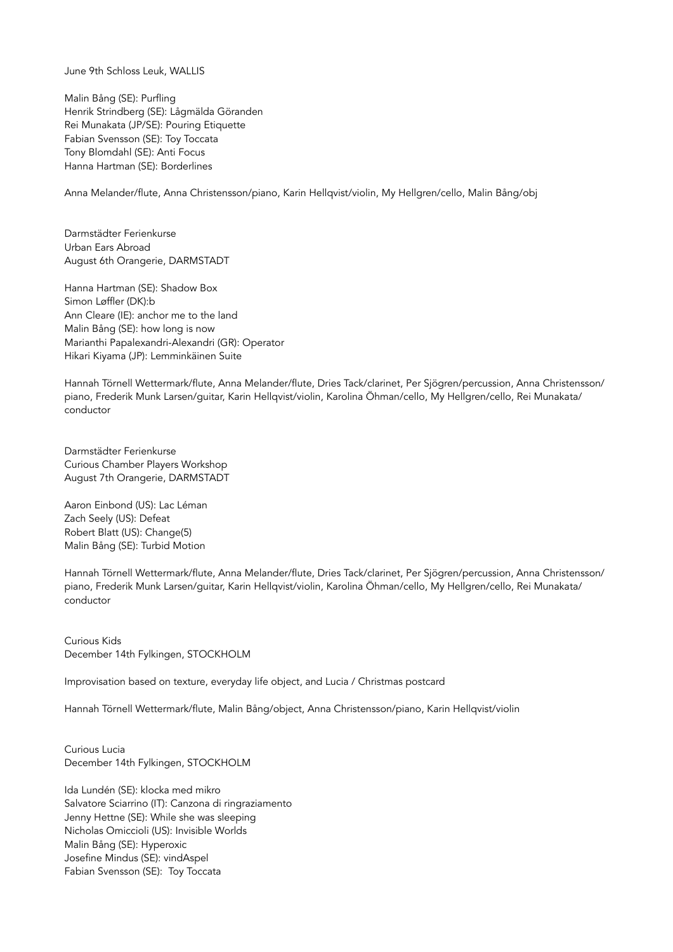June 9th Schloss Leuk, WALLIS

Malin Bång (SE): Purfling Henrik Strindberg (SE): Lågmälda Göranden Rei Munakata (JP/SE): Pouring Etiquette Fabian Svensson (SE): Toy Toccata Tony Blomdahl (SE): Anti Focus Hanna Hartman (SE): Borderlines

Anna Melander/flute, Anna Christensson/piano, Karin Hellqvist/violin, My Hellgren/cello, Malin Bång/obj

Darmstädter Ferienkurse Urban Ears Abroad August 6th Orangerie, DARMSTADT

Hanna Hartman (SE): Shadow Box Simon Løffler (DK):b Ann Cleare (IE): anchor me to the land Malin Bång (SE): how long is now Marianthi Papalexandri-Alexandri (GR): Operator Hikari Kiyama (JP): Lemminkäinen Suite

Hannah Törnell Wettermark/flute, Anna Melander/flute, Dries Tack/clarinet, Per Sjögren/percussion, Anna Christensson/ piano, Frederik Munk Larsen/guitar, Karin Hellqvist/violin, Karolina Öhman/cello, My Hellgren/cello, Rei Munakata/ conductor

Darmstädter Ferienkurse Curious Chamber Players Workshop August 7th Orangerie, DARMSTADT

Aaron Einbond (US): Lac Léman Zach Seely (US): Defeat Robert Blatt (US): Change(5) Malin Bång (SE): Turbid Motion

Hannah Törnell Wettermark/flute, Anna Melander/flute, Dries Tack/clarinet, Per Sjögren/percussion, Anna Christensson/ piano, Frederik Munk Larsen/guitar, Karin Hellqvist/violin, Karolina Öhman/cello, My Hellgren/cello, Rei Munakata/ conductor

Curious Kids December 14th Fylkingen, STOCKHOLM

Improvisation based on texture, everyday life object, and Lucia / Christmas postcard

Hannah Törnell Wettermark/flute, Malin Bång/object, Anna Christensson/piano, Karin Hellqvist/violin

Curious Lucia December 14th Fylkingen, STOCKHOLM

Ida Lundén (SE): klocka med mikro Salvatore Sciarrino (IT): Canzona di ringraziamento Jenny Hettne (SE): While she was sleeping Nicholas Omiccioli (US): Invisible Worlds Malin Bång (SE): Hyperoxic Josefine Mindus (SE): vindAspel Fabian Svensson (SE): Toy Toccata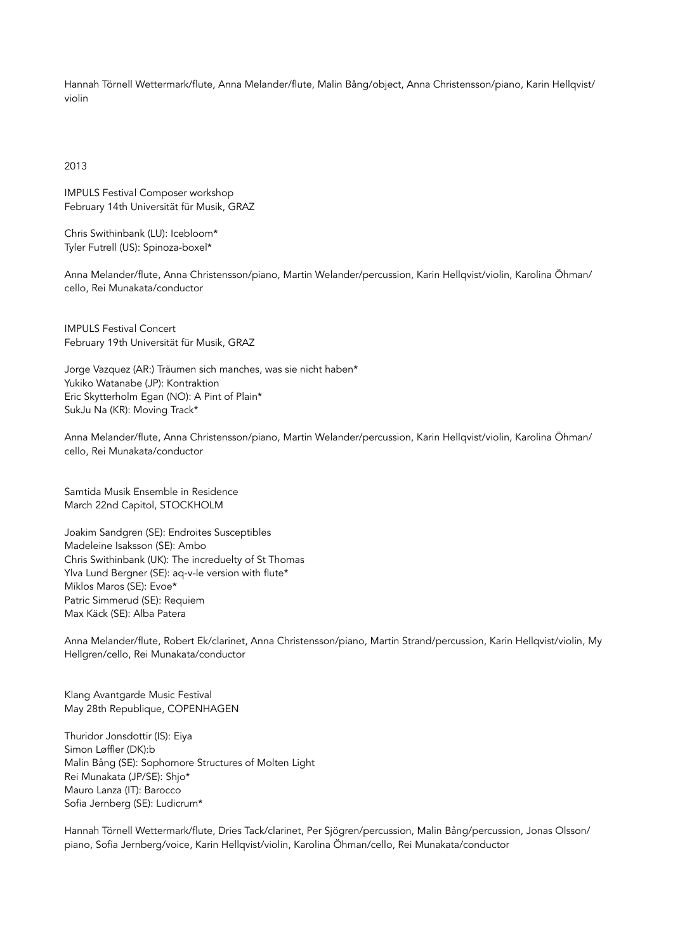Hannah Törnell Wettermark/flute, Anna Melander/flute, Malin Bång/object, Anna Christensson/piano, Karin Hellqvist/ violin

2013

IMPULS Festival Composer workshop February 14th Universität für Musik, GRAZ

Chris Swithinbank (LU): Icebloom\* Tyler Futrell (US): Spinoza-boxel\*

Anna Melander/flute, Anna Christensson/piano, Martin Welander/percussion, Karin Hellqvist/violin, Karolina Öhman/ cello, Rei Munakata/conductor

IMPULS Festival Concert February 19th Universität für Musik, GRAZ

Jorge Vazquez (AR:) Träumen sich manches, was sie nicht haben\* Yukiko Watanabe (JP): Kontraktion Eric Skytterholm Egan (NO): A Pint of Plain\* SukJu Na (KR): Moving Track\*

Anna Melander/flute, Anna Christensson/piano, Martin Welander/percussion, Karin Hellqvist/violin, Karolina Öhman/ cello, Rei Munakata/conductor

Samtida Musik Ensemble in Residence March 22nd Capitol, STOCKHOLM

Joakim Sandgren (SE): Endroites Susceptibles Madeleine Isaksson (SE): Ambo Chris Swithinbank (UK): The increduelty of St Thomas Ylva Lund Bergner (SE): aq-v-le version with flute\* Miklos Maros (SE): Evoe\* Patric Simmerud (SE): Requiem Max Käck (SE): Alba Patera

Anna Melander/flute, Robert Ek/clarinet, Anna Christensson/piano, Martin Strand/percussion, Karin Hellqvist/violin, My Hellgren/cello, Rei Munakata/conductor

Klang Avantgarde Music Festival May 28th Republique, COPENHAGEN

Thuridor Jonsdottir (IS): Eiya Simon Løffler (DK):b Malin Bång (SE): Sophomore Structures of Molten Light Rei Munakata (JP/SE): Shjo\* Mauro Lanza (IT): Barocco Sofia Jernberg (SE): Ludicrum\*

Hannah Törnell Wettermark/flute, Dries Tack/clarinet, Per Sjögren/percussion, Malin Bång/percussion, Jonas Olsson/ piano, Sofia Jernberg/voice, Karin Hellqvist/violin, Karolina Öhman/cello, Rei Munakata/conductor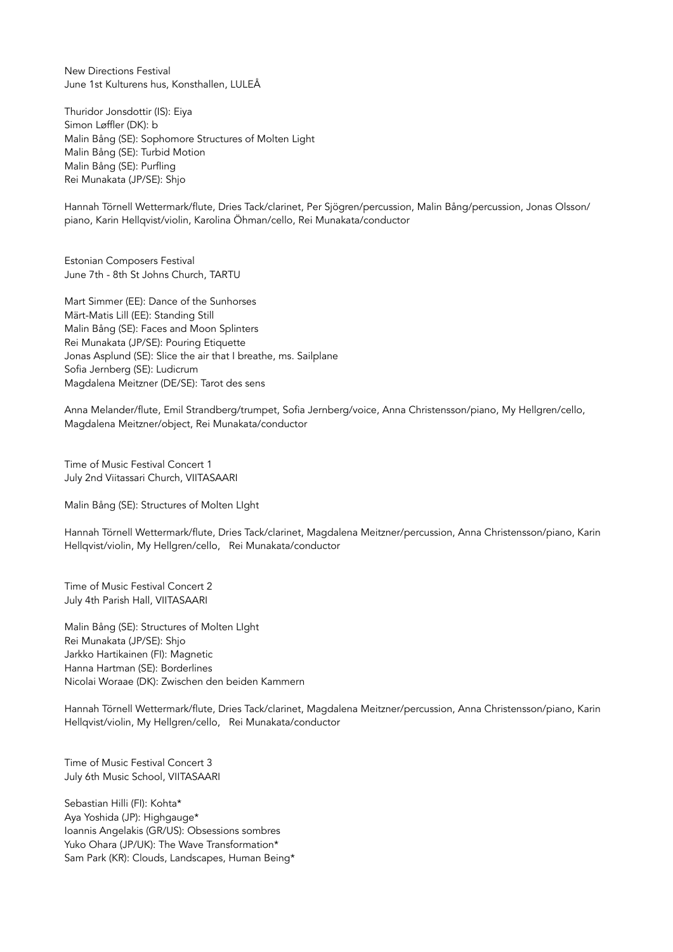New Directions Festival June 1st Kulturens hus, Konsthallen, LULEÅ

Thuridor Jonsdottir (IS): Eiya Simon Løffler (DK): b Malin Bång (SE): Sophomore Structures of Molten Light Malin Bång (SE): Turbid Motion Malin Bång (SE): Purfling Rei Munakata (JP/SE): Shjo

Hannah Törnell Wettermark/flute, Dries Tack/clarinet, Per Sjögren/percussion, Malin Bång/percussion, Jonas Olsson/ piano, Karin Hellqvist/violin, Karolina Öhman/cello, Rei Munakata/conductor

Estonian Composers Festival June 7th - 8th St Johns Church, TARTU

Mart Simmer (EE): Dance of the Sunhorses Märt-Matis Lill (EE): Standing Still Malin Bång (SE): Faces and Moon Splinters Rei Munakata (JP/SE): Pouring Etiquette Jonas Asplund (SE): Slice the air that I breathe, ms. Sailplane Sofia Jernberg (SE): Ludicrum Magdalena Meitzner (DE/SE): Tarot des sens

Anna Melander/flute, Emil Strandberg/trumpet, Sofia Jernberg/voice, Anna Christensson/piano, My Hellgren/cello, Magdalena Meitzner/object, Rei Munakata/conductor

Time of Music Festival Concert 1 July 2nd Viitassari Church, VIITASAARI

Malin Bång (SE): Structures of Molten LIght

Hannah Törnell Wettermark/flute, Dries Tack/clarinet, Magdalena Meitzner/percussion, Anna Christensson/piano, Karin Hellqvist/violin, My Hellgren/cello, Rei Munakata/conductor

Time of Music Festival Concert 2 July 4th Parish Hall, VIITASAARI

Malin Bång (SE): Structures of Molten LIght Rei Munakata (JP/SE): Shjo Jarkko Hartikainen (FI): Magnetic Hanna Hartman (SE): Borderlines Nicolai Woraae (DK): Zwischen den beiden Kammern

Hannah Törnell Wettermark/flute, Dries Tack/clarinet, Magdalena Meitzner/percussion, Anna Christensson/piano, Karin Hellqvist/violin, My Hellgren/cello, Rei Munakata/conductor

Time of Music Festival Concert 3 July 6th Music School, VIITASAARI

Sebastian Hilli (FI): Kohta\* Aya Yoshida (JP): Highgauge\* Ioannis Angelakis (GR/US): Obsessions sombres Yuko Ohara (JP/UK): The Wave Transformation\* Sam Park (KR): Clouds, Landscapes, Human Being\*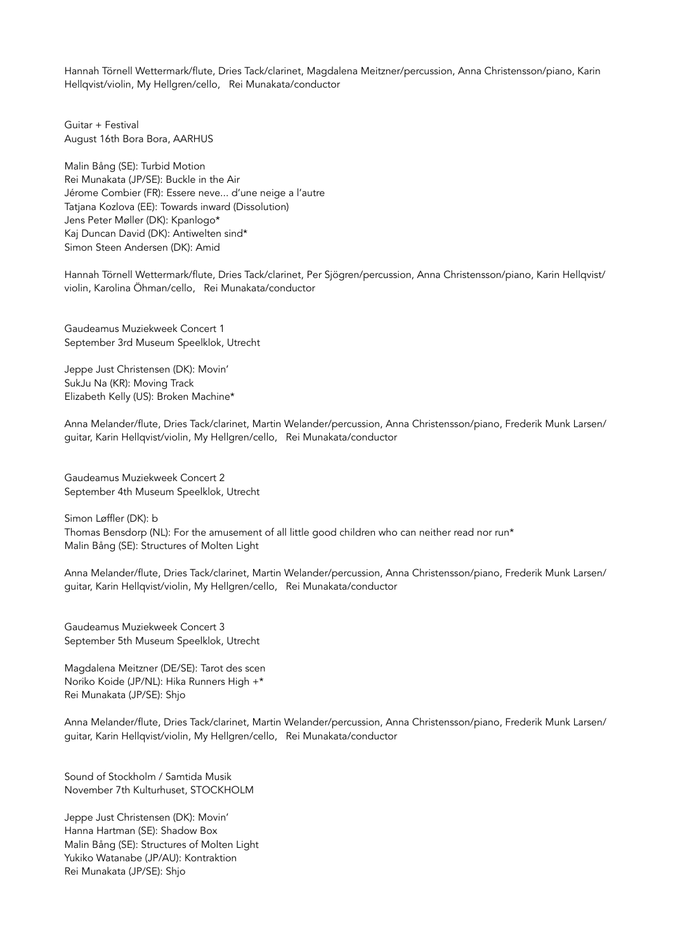Hannah Törnell Wettermark/flute, Dries Tack/clarinet, Magdalena Meitzner/percussion, Anna Christensson/piano, Karin Hellqvist/violin, My Hellgren/cello, Rei Munakata/conductor

Guitar + Festival August 16th Bora Bora, AARHUS

Malin Bång (SE): Turbid Motion Rei Munakata (JP/SE): Buckle in the Air Jérome Combier (FR): Essere neve... d'une neige a l'autre Tatjana Kozlova (EE): Towards inward (Dissolution) Jens Peter Møller (DK): Kpanlogo\* Kaj Duncan David (DK): Antiwelten sind\* Simon Steen Andersen (DK): Amid

Hannah Törnell Wettermark/flute, Dries Tack/clarinet, Per Sjögren/percussion, Anna Christensson/piano, Karin Hellqvist/ violin, Karolina Öhman/cello, Rei Munakata/conductor

Gaudeamus Muziekweek Concert 1 September 3rd Museum Speelklok, Utrecht

Jeppe Just Christensen (DK): Movin' SukJu Na (KR): Moving Track Elizabeth Kelly (US): Broken Machine\*

Anna Melander/flute, Dries Tack/clarinet, Martin Welander/percussion, Anna Christensson/piano, Frederik Munk Larsen/ guitar, Karin Hellqvist/violin, My Hellgren/cello, Rei Munakata/conductor

Gaudeamus Muziekweek Concert 2 September 4th Museum Speelklok, Utrecht

Simon Løffler (DK): b Thomas Bensdorp (NL): For the amusement of all little good children who can neither read nor run\* Malin Bång (SE): Structures of Molten Light

Anna Melander/flute, Dries Tack/clarinet, Martin Welander/percussion, Anna Christensson/piano, Frederik Munk Larsen/ guitar, Karin Hellqvist/violin, My Hellgren/cello, Rei Munakata/conductor

Gaudeamus Muziekweek Concert 3 September 5th Museum Speelklok, Utrecht

Magdalena Meitzner (DE/SE): Tarot des scen Noriko Koide (JP/NL): Hika Runners High +\* Rei Munakata (JP/SE): Shjo

Anna Melander/flute, Dries Tack/clarinet, Martin Welander/percussion, Anna Christensson/piano, Frederik Munk Larsen/ guitar, Karin Hellqvist/violin, My Hellgren/cello, Rei Munakata/conductor

Sound of Stockholm / Samtida Musik November 7th Kulturhuset, STOCKHOLM

Jeppe Just Christensen (DK): Movin' Hanna Hartman (SE): Shadow Box Malin Bång (SE): Structures of Molten Light Yukiko Watanabe (JP/AU): Kontraktion Rei Munakata (JP/SE): Shjo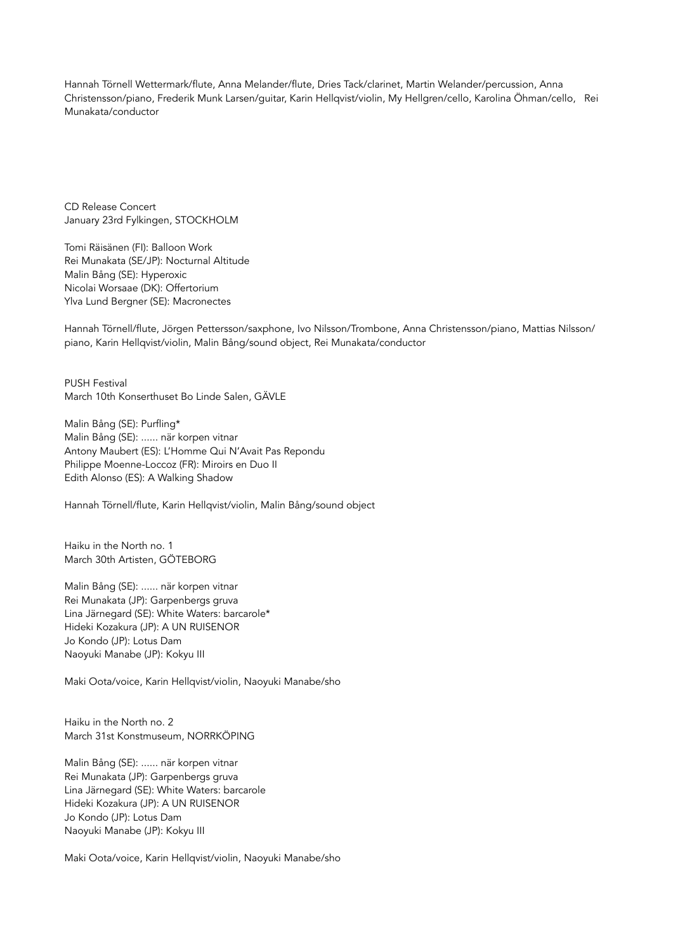Hannah Törnell Wettermark/flute, Anna Melander/flute, Dries Tack/clarinet, Martin Welander/percussion, Anna Christensson/piano, Frederik Munk Larsen/guitar, Karin Hellqvist/violin, My Hellgren/cello, Karolina Öhman/cello, Rei Munakata/conductor

CD Release Concert January 23rd Fylkingen, STOCKHOLM

Tomi Räisänen (FI): Balloon Work Rei Munakata (SE/JP): Nocturnal Altitude Malin Bång (SE): Hyperoxic Nicolai Worsaae (DK): Offertorium Ylva Lund Bergner (SE): Macronectes

Hannah Törnell/flute, Jörgen Pettersson/saxphone, Ivo Nilsson/Trombone, Anna Christensson/piano, Mattias Nilsson/ piano, Karin Hellqvist/violin, Malin Bång/sound object, Rei Munakata/conductor

PUSH Festival March 10th Konserthuset Bo Linde Salen, GÄVLE

Malin Bång (SE): Purfling\* Malin Bång (SE): ...... när korpen vitnar Antony Maubert (ES): L'Homme Qui N'Avait Pas Repondu Philippe Moenne-Loccoz (FR): Miroirs en Duo II Edith Alonso (ES): A Walking Shadow

Hannah Törnell/flute, Karin Hellqvist/violin, Malin Bång/sound object

Haiku in the North no. 1 March 30th Artisten, GÖTEBORG

Malin Bång (SE): ...... när korpen vitnar Rei Munakata (JP): Garpenbergs gruva Lina Järnegard (SE): White Waters: barcarole\* Hideki Kozakura (JP): A UN RUISENOR Jo Kondo (JP): Lotus Dam Naoyuki Manabe (JP): Kokyu III

Maki Oota/voice, Karin Hellqvist/violin, Naoyuki Manabe/sho

Haiku in the North no. 2 March 31st Konstmuseum, NORRKÖPING

Malin Bång (SE): ...... när korpen vitnar Rei Munakata (JP): Garpenbergs gruva Lina Järnegard (SE): White Waters: barcarole Hideki Kozakura (JP): A UN RUISENOR Jo Kondo (JP): Lotus Dam Naoyuki Manabe (JP): Kokyu III

Maki Oota/voice, Karin Hellqvist/violin, Naoyuki Manabe/sho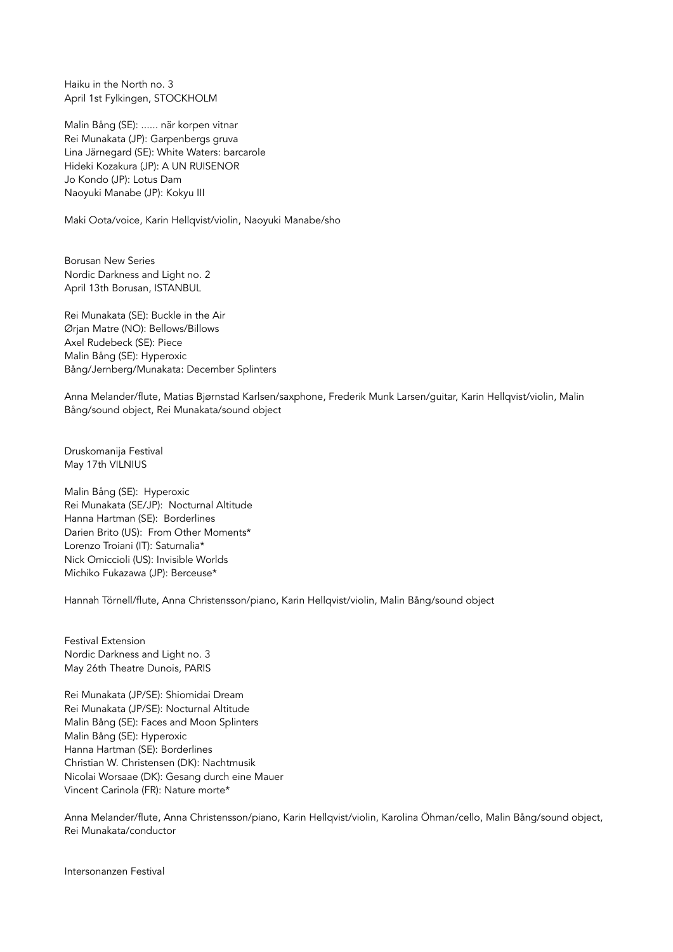Haiku in the North no. 3 April 1st Fylkingen, STOCKHOLM

Malin Bång (SE): ...... när korpen vitnar Rei Munakata (JP): Garpenbergs gruva Lina Järnegard (SE): White Waters: barcarole Hideki Kozakura (JP): A UN RUISENOR Jo Kondo (JP): Lotus Dam Naoyuki Manabe (JP): Kokyu III

Maki Oota/voice, Karin Hellqvist/violin, Naoyuki Manabe/sho

Borusan New Series Nordic Darkness and Light no. 2 April 13th Borusan, ISTANBUL

Rei Munakata (SE): Buckle in the Air Ørjan Matre (NO): Bellows/Billows Axel Rudebeck (SE): Piece Malin Bång (SE): Hyperoxic Bång/Jernberg/Munakata: December Splinters

Anna Melander/flute, Matias Bjørnstad Karlsen/saxphone, Frederik Munk Larsen/guitar, Karin Hellqvist/violin, Malin Bång/sound object, Rei Munakata/sound object

Druskomanija Festival May 17th VILNIUS

Malin Bång (SE): Hyperoxic Rei Munakata (SE/JP): Nocturnal Altitude Hanna Hartman (SE): Borderlines Darien Brito (US): From Other Moments\* Lorenzo Troiani (IT): Saturnalia\* Nick Omiccioli (US): Invisible Worlds Michiko Fukazawa (JP): Berceuse\*

Hannah Törnell/flute, Anna Christensson/piano, Karin Hellqvist/violin, Malin Bång/sound object

Festival Extension Nordic Darkness and Light no. 3 May 26th Theatre Dunois, PARIS

Rei Munakata (JP/SE): Shiomidai Dream Rei Munakata (JP/SE): Nocturnal Altitude Malin Bång (SE): Faces and Moon Splinters Malin Bång (SE): Hyperoxic Hanna Hartman (SE): Borderlines Christian W. Christensen (DK): Nachtmusik Nicolai Worsaae (DK): Gesang durch eine Mauer Vincent Carinola (FR): Nature morte\*

Anna Melander/flute, Anna Christensson/piano, Karin Hellqvist/violin, Karolina Öhman/cello, Malin Bång/sound object, Rei Munakata/conductor

Intersonanzen Festival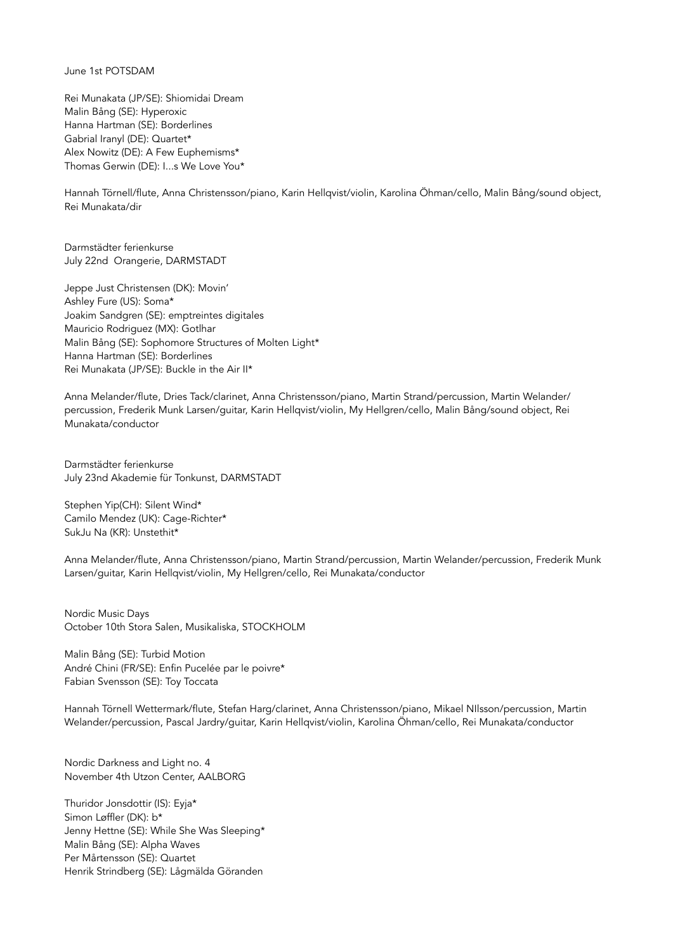## June 1st POTSDAM

Rei Munakata (JP/SE): Shiomidai Dream Malin Bång (SE): Hyperoxic Hanna Hartman (SE): Borderlines Gabrial Iranyl (DE): Quartet\* Alex Nowitz (DE): A Few Euphemisms\* Thomas Gerwin (DE): I...s We Love You\*

Hannah Törnell/flute, Anna Christensson/piano, Karin Hellqvist/violin, Karolina Öhman/cello, Malin Bång/sound object, Rei Munakata/dir

Darmstädter ferienkurse July 22nd Orangerie, DARMSTADT

Jeppe Just Christensen (DK): Movin' Ashley Fure (US): Soma\* Joakim Sandgren (SE): emptreintes digitales Mauricio Rodriguez (MX): Gotlhar Malin Bång (SE): Sophomore Structures of Molten Light\* Hanna Hartman (SE): Borderlines Rei Munakata (JP/SE): Buckle in the Air II\*

Anna Melander/flute, Dries Tack/clarinet, Anna Christensson/piano, Martin Strand/percussion, Martin Welander/ percussion, Frederik Munk Larsen/guitar, Karin Hellqvist/violin, My Hellgren/cello, Malin Bång/sound object, Rei Munakata/conductor

Darmstädter ferienkurse July 23nd Akademie für Tonkunst, DARMSTADT

Stephen Yip(CH): Silent Wind\* Camilo Mendez (UK): Cage-Richter\* SukJu Na (KR): Unstethit\*

Anna Melander/flute, Anna Christensson/piano, Martin Strand/percussion, Martin Welander/percussion, Frederik Munk Larsen/guitar, Karin Hellqvist/violin, My Hellgren/cello, Rei Munakata/conductor

Nordic Music Days October 10th Stora Salen, Musikaliska, STOCKHOLM

Malin Bång (SE): Turbid Motion André Chini (FR/SE): Enfin Pucelée par le poivre\* Fabian Svensson (SE): Toy Toccata

Hannah Törnell Wettermark/flute, Stefan Harg/clarinet, Anna Christensson/piano, Mikael NIlsson/percussion, Martin Welander/percussion, Pascal Jardry/guitar, Karin Hellqvist/violin, Karolina Öhman/cello, Rei Munakata/conductor

Nordic Darkness and Light no. 4 November 4th Utzon Center, AALBORG

Thuridor Jonsdottir (IS): Eyja\* Simon Løffler (DK): b\* Jenny Hettne (SE): While She Was Sleeping\* Malin Bång (SE): Alpha Waves Per Mårtensson (SE): Quartet Henrik Strindberg (SE): Lågmälda Göranden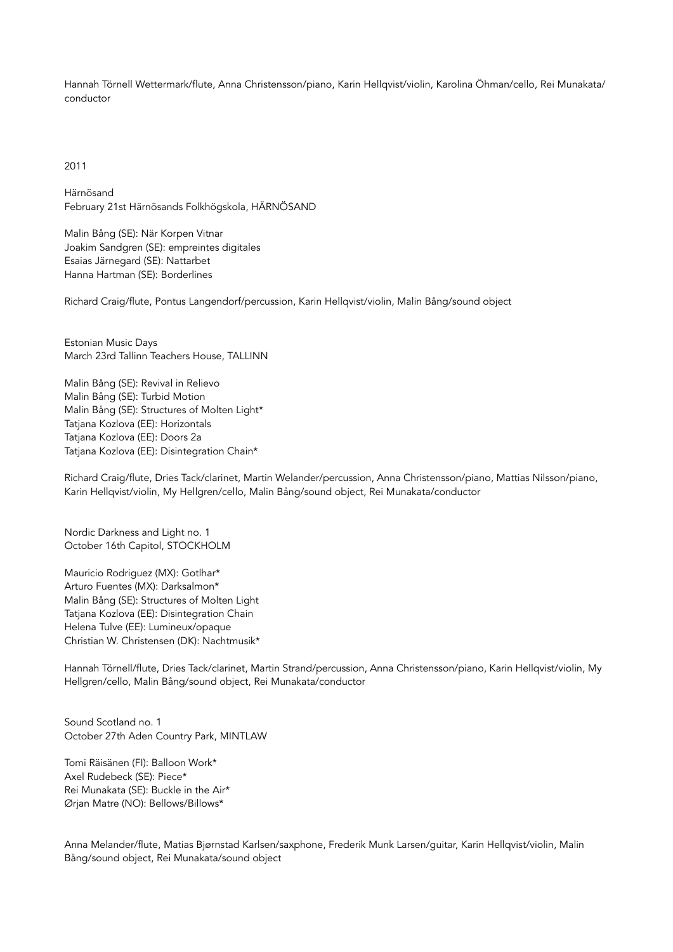Hannah Törnell Wettermark/flute, Anna Christensson/piano, Karin Hellqvist/violin, Karolina Öhman/cello, Rei Munakata/ conductor

2011

Härnösand February 21st Härnösands Folkhögskola, HÄRNÖSAND

Malin Bång (SE): När Korpen Vitnar Joakim Sandgren (SE): empreintes digitales Esaias Järnegard (SE): Nattarbet Hanna Hartman (SE): Borderlines

Richard Craig/flute, Pontus Langendorf/percussion, Karin Hellqvist/violin, Malin Bång/sound object

Estonian Music Days March 23rd Tallinn Teachers House, TALLINN

Malin Bång (SE): Revival in Relievo Malin Bång (SE): Turbid Motion Malin Bång (SE): Structures of Molten Light\* Tatjana Kozlova (EE): Horizontals Tatjana Kozlova (EE): Doors 2a Tatjana Kozlova (EE): Disintegration Chain\*

Richard Craig/flute, Dries Tack/clarinet, Martin Welander/percussion, Anna Christensson/piano, Mattias Nilsson/piano, Karin Hellqvist/violin, My Hellgren/cello, Malin Bång/sound object, Rei Munakata/conductor

Nordic Darkness and Light no. 1 October 16th Capitol, STOCKHOLM

Mauricio Rodriguez (MX): Gotlhar\* Arturo Fuentes (MX): Darksalmon\* Malin Bång (SE): Structures of Molten Light Tatjana Kozlova (EE): Disintegration Chain Helena Tulve (EE): Lumineux/opaque Christian W. Christensen (DK): Nachtmusik\*

Hannah Törnell/flute, Dries Tack/clarinet, Martin Strand/percussion, Anna Christensson/piano, Karin Hellqvist/violin, My Hellgren/cello, Malin Bång/sound object, Rei Munakata/conductor

Sound Scotland no. 1 October 27th Aden Country Park, MINTLAW

Tomi Räisänen (FI): Balloon Work\* Axel Rudebeck (SE): Piece\* Rei Munakata (SE): Buckle in the Air\* Ørjan Matre (NO): Bellows/Billows\*

Anna Melander/flute, Matias Bjørnstad Karlsen/saxphone, Frederik Munk Larsen/guitar, Karin Hellqvist/violin, Malin Bång/sound object, Rei Munakata/sound object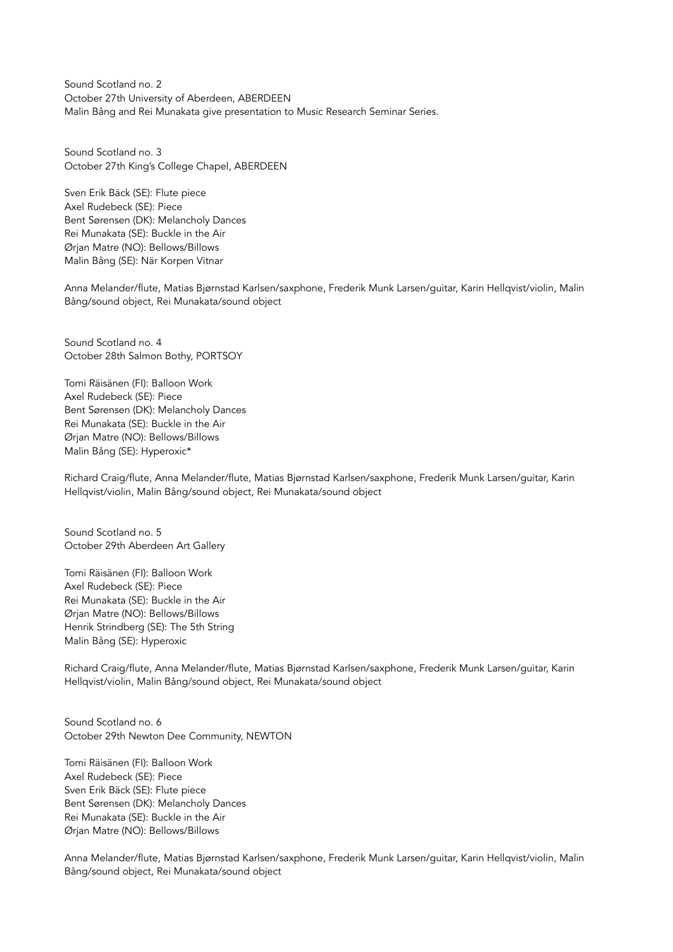Sound Scotland no. 2 October 27th University of Aberdeen, ABERDEEN Malin Bång and Rei Munakata give presentation to Music Research Seminar Series.

Sound Scotland no. 3 October 27th King's College Chapel, ABERDEEN

Sven Erik Bäck (SE): Flute piece Axel Rudebeck (SE): Piece Bent Sørensen (DK): Melancholy Dances Rei Munakata (SE): Buckle in the Air Ørjan Matre (NO): Bellows/Billows Malin Bång (SE): När Korpen Vitnar

Anna Melander/flute, Matias Bjørnstad Karlsen/saxphone, Frederik Munk Larsen/guitar, Karin Hellqvist/violin, Malin Bång/sound object, Rei Munakata/sound object

Sound Scotland no. 4 October 28th Salmon Bothy, PORTSOY

Tomi Räisänen (FI): Balloon Work Axel Rudebeck (SE): Piece Bent Sørensen (DK): Melancholy Dances Rei Munakata (SE): Buckle in the Air Ørjan Matre (NO): Bellows/Billows Malin Bång (SE): Hyperoxic\*

Richard Craig/flute, Anna Melander/flute, Matias Bjørnstad Karlsen/saxphone, Frederik Munk Larsen/guitar, Karin Hellqvist/violin, Malin Bång/sound object, Rei Munakata/sound object

Sound Scotland no. 5 October 29th Aberdeen Art Gallery

Tomi Räisänen (FI): Balloon Work Axel Rudebeck (SE): Piece Rei Munakata (SE): Buckle in the Air Ørjan Matre (NO): Bellows/Billows Henrik Strindberg (SE): The 5th String Malin Bång (SE): Hyperoxic

Richard Craig/flute, Anna Melander/flute, Matias Bjørnstad Karlsen/saxphone, Frederik Munk Larsen/guitar, Karin Hellqvist/violin, Malin Bång/sound object, Rei Munakata/sound object

Sound Scotland no. 6 October 29th Newton Dee Community, NEWTON

Tomi Räisänen (FI): Balloon Work Axel Rudebeck (SE): Piece Sven Erik Bäck (SE): Flute piece Bent Sørensen (DK): Melancholy Dances Rei Munakata (SE): Buckle in the Air Ørjan Matre (NO): Bellows/Billows

Anna Melander/flute, Matias Bjørnstad Karlsen/saxphone, Frederik Munk Larsen/guitar, Karin Hellqvist/violin, Malin Bång/sound object, Rei Munakata/sound object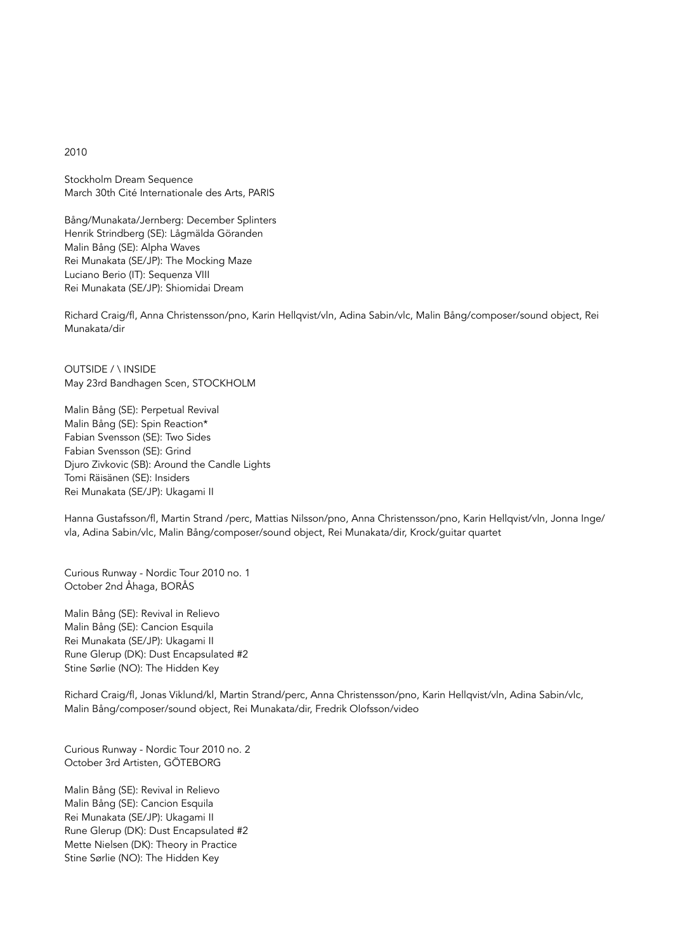## 2010

Stockholm Dream Sequence March 30th Cité Internationale des Arts, PARIS

Bång/Munakata/Jernberg: December Splinters Henrik Strindberg (SE): Lågmälda Göranden Malin Bång (SE): Alpha Waves Rei Munakata (SE/JP): The Mocking Maze Luciano Berio (IT): Sequenza VIII Rei Munakata (SE/JP): Shiomidai Dream

Richard Craig/fl, Anna Christensson/pno, Karin Hellqvist/vln, Adina Sabin/vlc, Malin Bång/composer/sound object, Rei Munakata/dir

OUTSIDE / \ INSIDE May 23rd Bandhagen Scen, STOCKHOLM

Malin Bång (SE): Perpetual Revival Malin Bång (SE): Spin Reaction\* Fabian Svensson (SE): Two Sides Fabian Svensson (SE): Grind Djuro Zivkovic (SB): Around the Candle Lights Tomi Räisänen (SE): Insiders Rei Munakata (SE/JP): Ukagami II

Hanna Gustafsson/fl, Martin Strand /perc, Mattias Nilsson/pno, Anna Christensson/pno, Karin Hellqvist/vln, Jonna Inge/ vla, Adina Sabin/vlc, Malin Bång/composer/sound object, Rei Munakata/dir, Krock/guitar quartet

Curious Runway - Nordic Tour 2010 no. 1 October 2nd Åhaga, BORÅS

Malin Bång (SE): Revival in Relievo Malin Bång (SE): Cancion Esquila Rei Munakata (SE/JP): Ukagami II Rune Glerup (DK): Dust Encapsulated #2 Stine Sørlie (NO): The Hidden Key

Richard Craig/fl, Jonas Viklund/kl, Martin Strand/perc, Anna Christensson/pno, Karin Hellqvist/vln, Adina Sabin/vlc, Malin Bång/composer/sound object, Rei Munakata/dir, Fredrik Olofsson/video

Curious Runway - Nordic Tour 2010 no. 2 October 3rd Artisten, GÖTEBORG

Malin Bång (SE): Revival in Relievo Malin Bång (SE): Cancion Esquila Rei Munakata (SE/JP): Ukagami II Rune Glerup (DK): Dust Encapsulated #2 Mette Nielsen (DK): Theory in Practice Stine Sørlie (NO): The Hidden Key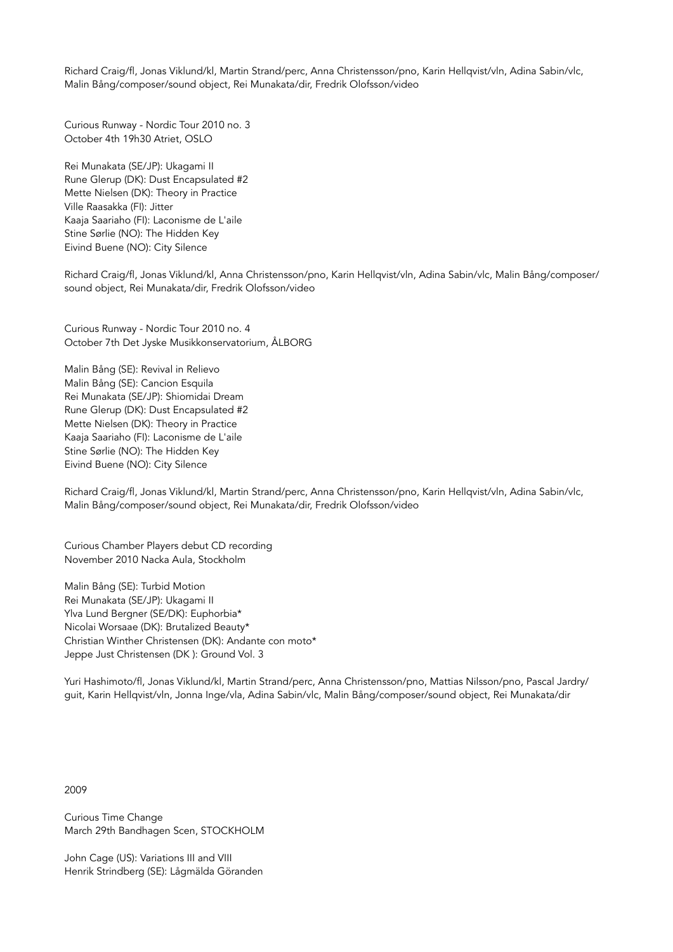Richard Craig/fl, Jonas Viklund/kl, Martin Strand/perc, Anna Christensson/pno, Karin Hellqvist/vln, Adina Sabin/vlc, Malin Bång/composer/sound object, Rei Munakata/dir, Fredrik Olofsson/video

Curious Runway - Nordic Tour 2010 no. 3 October 4th 19h30 Atriet, OSLO

Rei Munakata (SE/JP): Ukagami II Rune Glerup (DK): Dust Encapsulated #2 Mette Nielsen (DK): Theory in Practice Ville Raasakka (FI): Jitter Kaaja Saariaho (FI): Laconisme de L'aile Stine Sørlie (NO): The Hidden Key Eivind Buene (NO): City Silence

Richard Craig/fl, Jonas Viklund/kl, Anna Christensson/pno, Karin Hellqvist/vln, Adina Sabin/vlc, Malin Bång/composer/ sound object, Rei Munakata/dir, Fredrik Olofsson/video

Curious Runway - Nordic Tour 2010 no. 4 October 7th Det Jyske Musikkonservatorium, ÅLBORG

Malin Bång (SE): Revival in Relievo Malin Bång (SE): Cancion Esquila Rei Munakata (SE/JP): Shiomidai Dream Rune Glerup (DK): Dust Encapsulated #2 Mette Nielsen (DK): Theory in Practice Kaaja Saariaho (FI): Laconisme de L'aile Stine Sørlie (NO): The Hidden Key Eivind Buene (NO): City Silence

Richard Craig/fl, Jonas Viklund/kl, Martin Strand/perc, Anna Christensson/pno, Karin Hellqvist/vln, Adina Sabin/vlc, Malin Bång/composer/sound object, Rei Munakata/dir, Fredrik Olofsson/video

Curious Chamber Players debut CD recording November 2010 Nacka Aula, Stockholm

Malin Bång (SE): Turbid Motion Rei Munakata (SE/JP): Ukagami II Ylva Lund Bergner (SE/DK): Euphorbia\* Nicolai Worsaae (DK): Brutalized Beauty\* Christian Winther Christensen (DK): Andante con moto\* Jeppe Just Christensen (DK ): Ground Vol. 3

Yuri Hashimoto/fl, Jonas Viklund/kl, Martin Strand/perc, Anna Christensson/pno, Mattias Nilsson/pno, Pascal Jardry/ guit, Karin Hellqvist/vln, Jonna Inge/vla, Adina Sabin/vlc, Malin Bång/composer/sound object, Rei Munakata/dir

2009

Curious Time Change March 29th Bandhagen Scen, STOCKHOLM

John Cage (US): Variations III and VIII Henrik Strindberg (SE): Lågmälda Göranden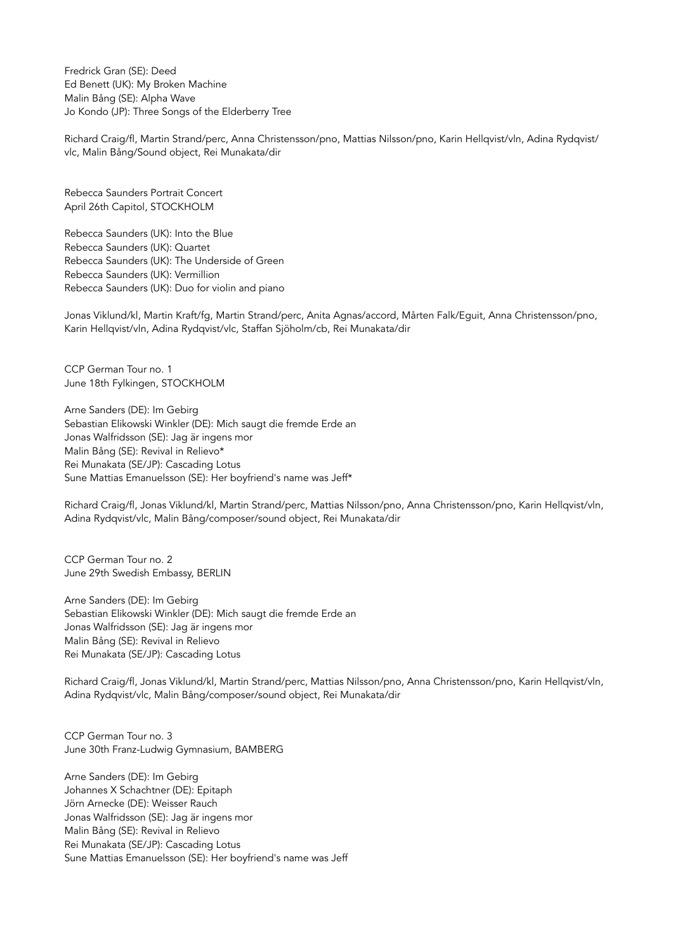Fredrick Gran (SE): Deed Ed Benett (UK): My Broken Machine Malin Bång (SE): Alpha Wave Jo Kondo (JP): Three Songs of the Elderberry Tree

Richard Craig/fl, Martin Strand/perc, Anna Christensson/pno, Mattias Nilsson/pno, Karin Hellqvist/vln, Adina Rydqvist/ vlc, Malin Bång/Sound object, Rei Munakata/dir

Rebecca Saunders Portrait Concert April 26th Capitol, STOCKHOLM

Rebecca Saunders (UK): Into the Blue Rebecca Saunders (UK): Quartet Rebecca Saunders (UK): The Underside of Green Rebecca Saunders (UK): Vermillion Rebecca Saunders (UK): Duo for violin and piano

Jonas Viklund/kl, Martin Kraft/fg, Martin Strand/perc, Anita Agnas/accord, Mårten Falk/Eguit, Anna Christensson/pno, Karin Hellqvist/vln, Adina Rydqvist/vlc, Staffan Sjöholm/cb, Rei Munakata/dir

CCP German Tour no. 1 June 18th Fylkingen, STOCKHOLM

Arne Sanders (DE): Im Gebirg Sebastian Elikowski Winkler (DE): Mich saugt die fremde Erde an Jonas Walfridsson (SE): Jag är ingens mor Malin Bång (SE): Revival in Relievo\* Rei Munakata (SE/JP): Cascading Lotus Sune Mattias Emanuelsson (SE): Her boyfriend's name was Jeff\*

Richard Craig/fl, Jonas Viklund/kl, Martin Strand/perc, Mattias Nilsson/pno, Anna Christensson/pno, Karin Hellqvist/vln, Adina Rydqvist/vlc, Malin Bång/composer/sound object, Rei Munakata/dir

CCP German Tour no. 2 June 29th Swedish Embassy, BERLIN

Arne Sanders (DE): Im Gebirg Sebastian Elikowski Winkler (DE): Mich saugt die fremde Erde an Jonas Walfridsson (SE): Jag är ingens mor Malin Bång (SE): Revival in Relievo Rei Munakata (SE/JP): Cascading Lotus

Richard Craig/fl, Jonas Viklund/kl, Martin Strand/perc, Mattias Nilsson/pno, Anna Christensson/pno, Karin Hellqvist/vln, Adina Rydqvist/vlc, Malin Bång/composer/sound object, Rei Munakata/dir

CCP German Tour no. 3 June 30th Franz-Ludwig Gymnasium, BAMBERG

Arne Sanders (DE): Im Gebirg Johannes X Schachtner (DE): Epitaph Jörn Arnecke (DE): Weisser Rauch Jonas Walfridsson (SE): Jag är ingens mor Malin Bång (SE): Revival in Relievo Rei Munakata (SE/JP): Cascading Lotus Sune Mattias Emanuelsson (SE): Her boyfriend's name was Jeff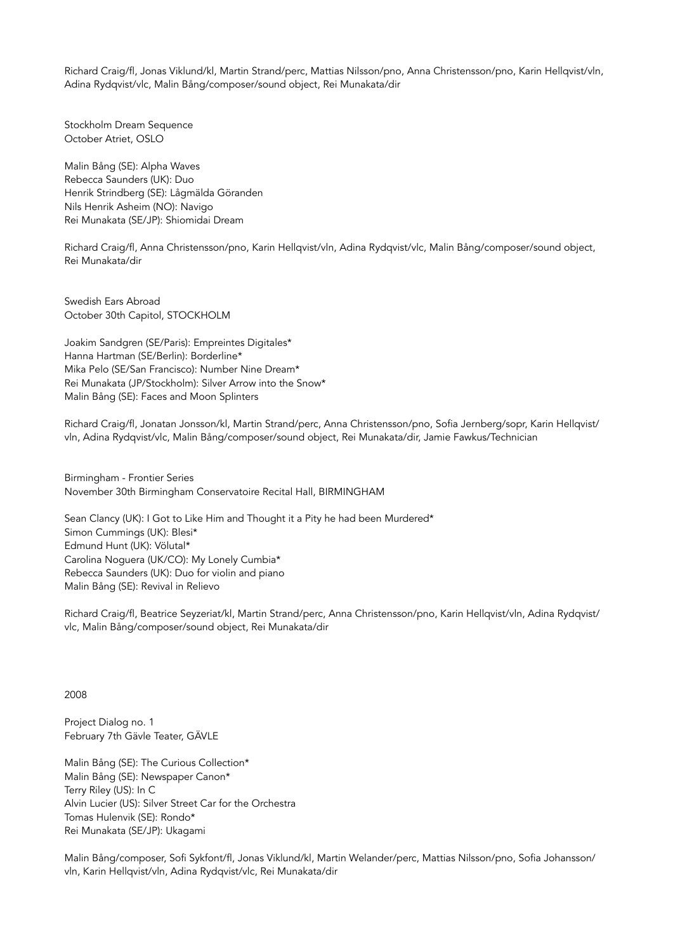Richard Craig/fl, Jonas Viklund/kl, Martin Strand/perc, Mattias Nilsson/pno, Anna Christensson/pno, Karin Hellqvist/vln, Adina Rydqvist/vlc, Malin Bång/composer/sound object, Rei Munakata/dir

Stockholm Dream Sequence October Atriet, OSLO

Malin Bång (SE): Alpha Waves Rebecca Saunders (UK): Duo Henrik Strindberg (SE): Lågmälda Göranden Nils Henrik Asheim (NO): Navigo Rei Munakata (SE/JP): Shiomidai Dream

Richard Craig/fl, Anna Christensson/pno, Karin Hellqvist/vln, Adina Rydqvist/vlc, Malin Bång/composer/sound object, Rei Munakata/dir

Swedish Ears Abroad October 30th Capitol, STOCKHOLM

Joakim Sandgren (SE/Paris): Empreintes Digitales\* Hanna Hartman (SE/Berlin): Borderline\* Mika Pelo (SE/San Francisco): Number Nine Dream\* Rei Munakata (JP/Stockholm): Silver Arrow into the Snow\* Malin Bång (SE): Faces and Moon Splinters

Richard Craig/fl, Jonatan Jonsson/kl, Martin Strand/perc, Anna Christensson/pno, Sofia Jernberg/sopr, Karin Hellqvist/ vln, Adina Rydqvist/vlc, Malin Bång/composer/sound object, Rei Munakata/dir, Jamie Fawkus/Technician

Birmingham - Frontier Series November 30th Birmingham Conservatoire Recital Hall, BIRMINGHAM

Sean Clancy (UK): I Got to Like Him and Thought it a Pity he had been Murdered\* Simon Cummings (UK): Blesi\* Edmund Hunt (UK): Völutal\* Carolina Noguera (UK/CO): My Lonely Cumbia\* Rebecca Saunders (UK): Duo for violin and piano Malin Bång (SE): Revival in Relievo

Richard Craig/fl, Beatrice Seyzeriat/kl, Martin Strand/perc, Anna Christensson/pno, Karin Hellqvist/vln, Adina Rydqvist/ vlc, Malin Bång/composer/sound object, Rei Munakata/dir

2008

Project Dialog no. 1 February 7th Gävle Teater, GÄVLE

Malin Bång (SE): The Curious Collection\* Malin Bång (SE): Newspaper Canon\* Terry Riley (US): In C Alvin Lucier (US): Silver Street Car for the Orchestra Tomas Hulenvik (SE): Rondo\* Rei Munakata (SE/JP): Ukagami

Malin Bång/composer, Sofi Sykfont/fl, Jonas Viklund/kl, Martin Welander/perc, Mattias Nilsson/pno, Sofia Johansson/ vln, Karin Hellqvist/vln, Adina Rydqvist/vlc, Rei Munakata/dir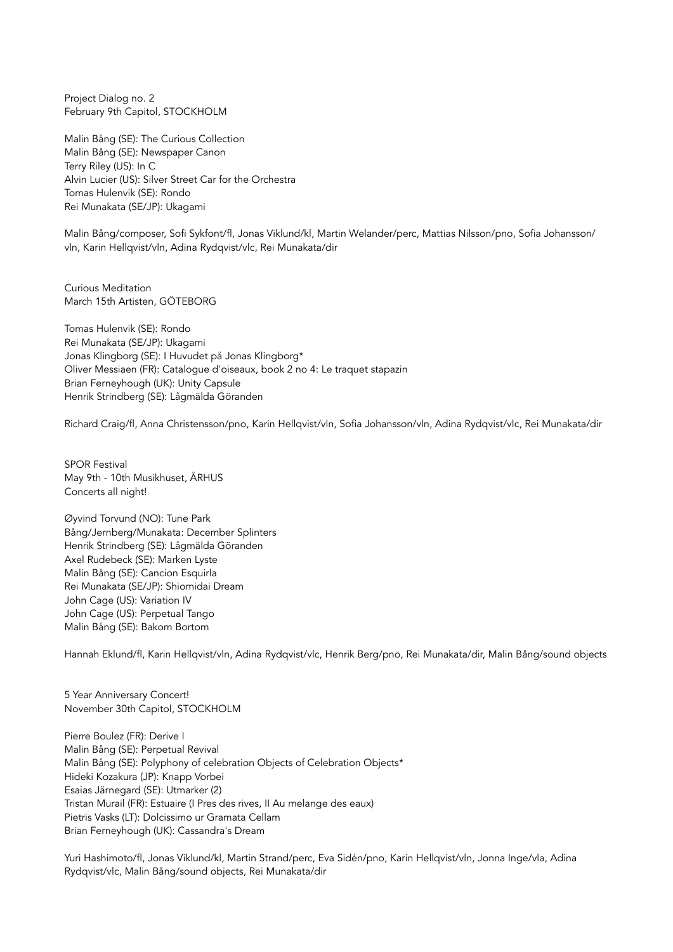Project Dialog no. 2 February 9th Capitol, STOCKHOLM

Malin Bång (SE): The Curious Collection Malin Bång (SE): Newspaper Canon Terry Riley (US): In C Alvin Lucier (US): Silver Street Car for the Orchestra Tomas Hulenvik (SE): Rondo Rei Munakata (SE/JP): Ukagami

Malin Bång/composer, Sofi Sykfont/fl, Jonas Viklund/kl, Martin Welander/perc, Mattias Nilsson/pno, Sofia Johansson/ vln, Karin Hellqvist/vln, Adina Rydqvist/vlc, Rei Munakata/dir

Curious Meditation March 15th Artisten, GÖTEBORG

Tomas Hulenvik (SE): Rondo Rei Munakata (SE/JP): Ukagami Jonas Klingborg (SE): I Huvudet på Jonas Klingborg\* Oliver Messiaen (FR): Catalogue d'oiseaux, book 2 no 4: Le traquet stapazin Brian Ferneyhough (UK): Unity Capsule Henrik Strindberg (SE): Lågmälda Göranden

Richard Craig/fl, Anna Christensson/pno, Karin Hellqvist/vln, Sofia Johansson/vln, Adina Rydqvist/vlc, Rei Munakata/dir

SPOR Festival May 9th - 10th Musikhuset, ÅRHUS Concerts all night!

Øyvind Torvund (NO): Tune Park Bång/Jernberg/Munakata: December Splinters Henrik Strindberg (SE): Lågmälda Göranden Axel Rudebeck (SE): Marken Lyste Malin Bång (SE): Cancion Esquirla Rei Munakata (SE/JP): Shiomidai Dream John Cage (US): Variation IV John Cage (US): Perpetual Tango Malin Bång (SE): Bakom Bortom

Hannah Eklund/fl, Karin Hellqvist/vln, Adina Rydqvist/vlc, Henrik Berg/pno, Rei Munakata/dir, Malin Bång/sound objects

5 Year Anniversary Concert! November 30th Capitol, STOCKHOLM

Pierre Boulez (FR): Derive I Malin Bång (SE): Perpetual Revival Malin Bång (SE): Polyphony of celebration Objects of Celebration Objects\* Hideki Kozakura (JP): Knapp Vorbei Esaias Järnegard (SE): Utmarker (2) Tristan Murail (FR): Estuaire (I Pres des rives, II Au melange des eaux) Pietris Vasks (LT): Dolcissimo ur Gramata Cellam Brian Ferneyhough (UK): Cassandra's Dream

Yuri Hashimoto/fl, Jonas Viklund/kl, Martin Strand/perc, Eva Sidén/pno, Karin Hellqvist/vln, Jonna Inge/vla, Adina Rydqvist/vlc, Malin Bång/sound objects, Rei Munakata/dir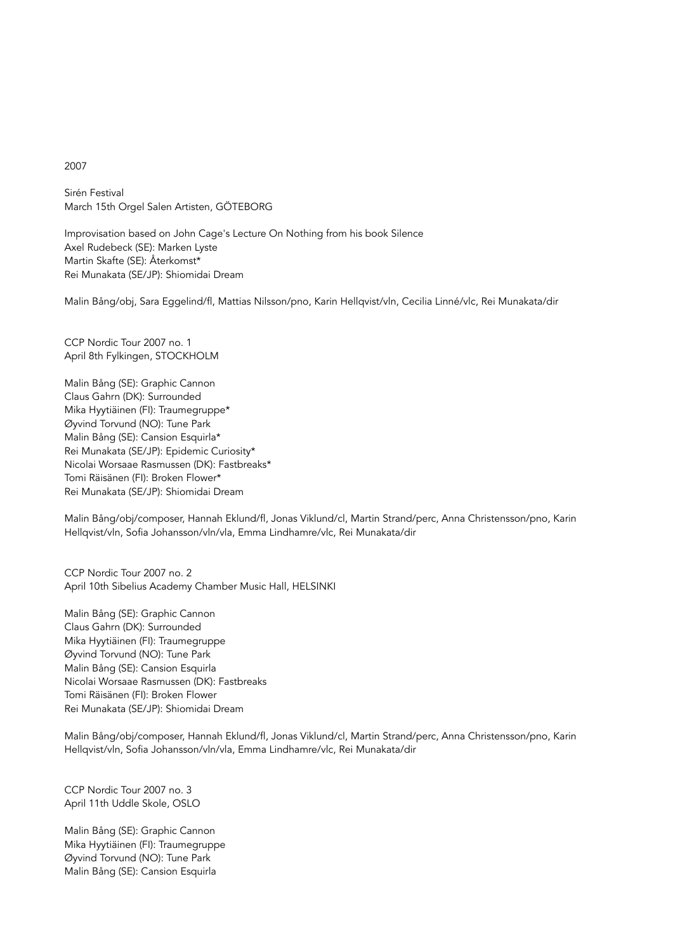## 2007

Sirén Festival March 15th Orgel Salen Artisten, GÖTEBORG

Improvisation based on John Cage's Lecture On Nothing from his book Silence Axel Rudebeck (SE): Marken Lyste Martin Skafte (SE): Återkomst\* Rei Munakata (SE/JP): Shiomidai Dream

Malin Bång/obj, Sara Eggelind/fl, Mattias Nilsson/pno, Karin Hellqvist/vln, Cecilia Linné/vlc, Rei Munakata/dir

CCP Nordic Tour 2007 no. 1 April 8th Fylkingen, STOCKHOLM

Malin Bång (SE): Graphic Cannon Claus Gahrn (DK): Surrounded Mika Hyytiäinen (FI): Traumegruppe\* Øyvind Torvund (NO): Tune Park Malin Bång (SE): Cansion Esquirla\* Rei Munakata (SE/JP): Epidemic Curiosity\* Nicolai Worsaae Rasmussen (DK): Fastbreaks\* Tomi Räisänen (FI): Broken Flower\* Rei Munakata (SE/JP): Shiomidai Dream

Malin Bång/obj/composer, Hannah Eklund/fl, Jonas Viklund/cl, Martin Strand/perc, Anna Christensson/pno, Karin Hellqvist/vln, Sofia Johansson/vln/vla, Emma Lindhamre/vlc, Rei Munakata/dir

CCP Nordic Tour 2007 no. 2 April 10th Sibelius Academy Chamber Music Hall, HELSINKI

Malin Bång (SE): Graphic Cannon Claus Gahrn (DK): Surrounded Mika Hyytiäinen (FI): Traumegruppe Øyvind Torvund (NO): Tune Park Malin Bång (SE): Cansion Esquirla Nicolai Worsaae Rasmussen (DK): Fastbreaks Tomi Räisänen (FI): Broken Flower Rei Munakata (SE/JP): Shiomidai Dream

Malin Bång/obj/composer, Hannah Eklund/fl, Jonas Viklund/cl, Martin Strand/perc, Anna Christensson/pno, Karin Hellqvist/vln, Sofia Johansson/vln/vla, Emma Lindhamre/vlc, Rei Munakata/dir

CCP Nordic Tour 2007 no. 3 April 11th Uddle Skole, OSLO

Malin Bång (SE): Graphic Cannon Mika Hyytiäinen (FI): Traumegruppe Øyvind Torvund (NO): Tune Park Malin Bång (SE): Cansion Esquirla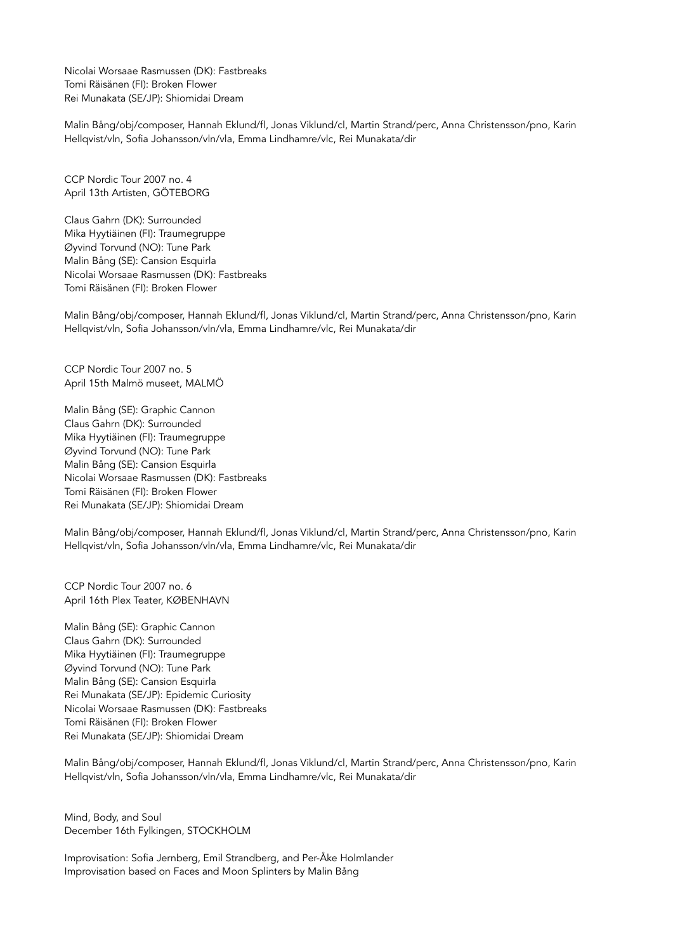Nicolai Worsaae Rasmussen (DK): Fastbreaks Tomi Räisänen (FI): Broken Flower Rei Munakata (SE/JP): Shiomidai Dream

Malin Bång/obj/composer, Hannah Eklund/fl, Jonas Viklund/cl, Martin Strand/perc, Anna Christensson/pno, Karin Hellqvist/vln, Sofia Johansson/vln/vla, Emma Lindhamre/vlc, Rei Munakata/dir

CCP Nordic Tour 2007 no. 4 April 13th Artisten, GÖTEBORG

Claus Gahrn (DK): Surrounded Mika Hyytiäinen (FI): Traumegruppe Øyvind Torvund (NO): Tune Park Malin Bång (SE): Cansion Esquirla Nicolai Worsaae Rasmussen (DK): Fastbreaks Tomi Räisänen (FI): Broken Flower

Malin Bång/obj/composer, Hannah Eklund/fl, Jonas Viklund/cl, Martin Strand/perc, Anna Christensson/pno, Karin Hellqvist/vln, Sofia Johansson/vln/vla, Emma Lindhamre/vlc, Rei Munakata/dir

CCP Nordic Tour 2007 no. 5 April 15th Malmö museet, MALMÖ

Malin Bång (SE): Graphic Cannon Claus Gahrn (DK): Surrounded Mika Hyytiäinen (FI): Traumegruppe Øyvind Torvund (NO): Tune Park Malin Bång (SE): Cansion Esquirla Nicolai Worsaae Rasmussen (DK): Fastbreaks Tomi Räisänen (FI): Broken Flower Rei Munakata (SE/JP): Shiomidai Dream

Malin Bång/obj/composer, Hannah Eklund/fl, Jonas Viklund/cl, Martin Strand/perc, Anna Christensson/pno, Karin Hellqvist/vln, Sofia Johansson/vln/vla, Emma Lindhamre/vlc, Rei Munakata/dir

CCP Nordic Tour 2007 no. 6 April 16th Plex Teater, KØBENHAVN

Malin Bång (SE): Graphic Cannon Claus Gahrn (DK): Surrounded Mika Hyytiäinen (FI): Traumegruppe Øyvind Torvund (NO): Tune Park Malin Bång (SE): Cansion Esquirla Rei Munakata (SE/JP): Epidemic Curiosity Nicolai Worsaae Rasmussen (DK): Fastbreaks Tomi Räisänen (FI): Broken Flower Rei Munakata (SE/JP): Shiomidai Dream

Malin Bång/obj/composer, Hannah Eklund/fl, Jonas Viklund/cl, Martin Strand/perc, Anna Christensson/pno, Karin Hellqvist/vln, Sofia Johansson/vln/vla, Emma Lindhamre/vlc, Rei Munakata/dir

Mind, Body, and Soul December 16th Fylkingen, STOCKHOLM

Improvisation: Sofia Jernberg, Emil Strandberg, and Per-Åke Holmlander Improvisation based on Faces and Moon Splinters by Malin Bång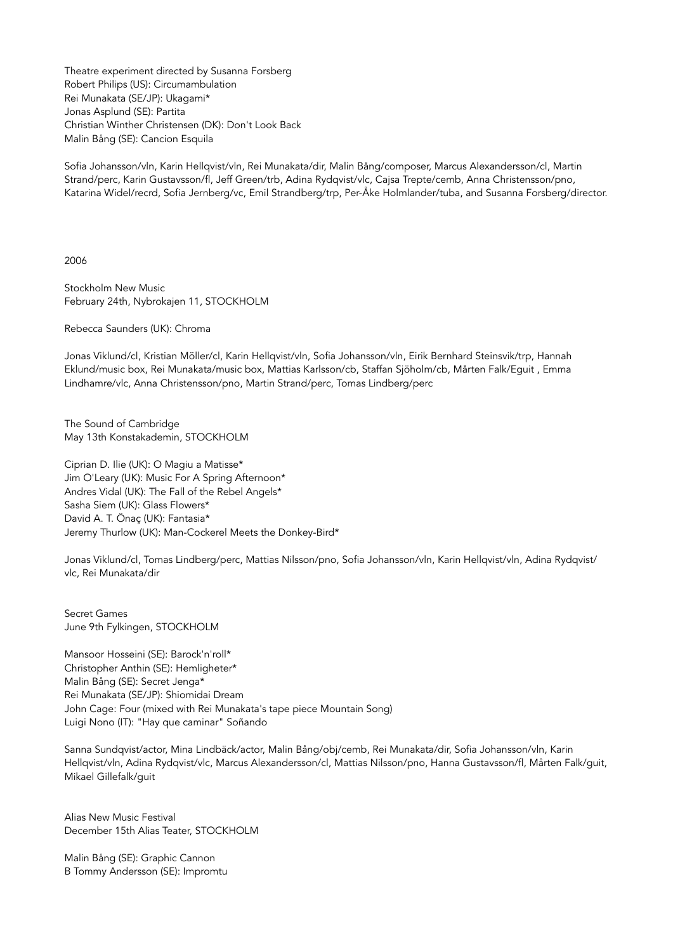Theatre experiment directed by Susanna Forsberg Robert Philips (US): Circumambulation Rei Munakata (SE/JP): Ukagami\* Jonas Asplund (SE): Partita Christian Winther Christensen (DK): Don't Look Back Malin Bång (SE): Cancion Esquila

Sofia Johansson/vln, Karin Hellqvist/vln, Rei Munakata/dir, Malin Bång/composer, Marcus Alexandersson/cl, Martin Strand/perc, Karin Gustavsson/fl, Jeff Green/trb, Adina Rydqvist/vlc, Cajsa Trepte/cemb, Anna Christensson/pno, Katarina Widel/recrd, Sofia Jernberg/vc, Emil Strandberg/trp, Per-Åke Holmlander/tuba, and Susanna Forsberg/director.

2006

Stockholm New Music February 24th, Nybrokajen 11, STOCKHOLM

Rebecca Saunders (UK): Chroma

Jonas Viklund/cl, Kristian Möller/cl, Karin Hellqvist/vln, Sofia Johansson/vln, Eirik Bernhard Steinsvik/trp, Hannah Eklund/music box, Rei Munakata/music box, Mattias Karlsson/cb, Staffan Sjöholm/cb, Mårten Falk/Eguit , Emma Lindhamre/vlc, Anna Christensson/pno, Martin Strand/perc, Tomas Lindberg/perc

The Sound of Cambridge May 13th Konstakademin, STOCKHOLM

Ciprian D. Ilie (UK): O Magiu a Matisse\* Jim O'Leary (UK): Music For A Spring Afternoon\* Andres Vidal (UK): The Fall of the Rebel Angels\* Sasha Siem (UK): Glass Flowers\* David A. T. Önaç (UK): Fantasia\* Jeremy Thurlow (UK): Man-Cockerel Meets the Donkey-Bird\*

Jonas Viklund/cl, Tomas Lindberg/perc, Mattias Nilsson/pno, Sofia Johansson/vln, Karin Hellqvist/vln, Adina Rydqvist/ vlc, Rei Munakata/dir

Secret Games June 9th Fylkingen, STOCKHOLM

Mansoor Hosseini (SE): Barock'n'roll\* Christopher Anthin (SE): Hemligheter\* Malin Bång (SE): Secret Jenga\* Rei Munakata (SE/JP): Shiomidai Dream John Cage: Four (mixed with Rei Munakata's tape piece Mountain Song) Luigi Nono (IT): "Hay que caminar" Soñando

Sanna Sundqvist/actor, Mina Lindbäck/actor, Malin Bång/obj/cemb, Rei Munakata/dir, Sofia Johansson/vln, Karin Hellqvist/vln, Adina Rydqvist/vlc, Marcus Alexandersson/cl, Mattias Nilsson/pno, Hanna Gustavsson/fl, Mårten Falk/guit, Mikael Gillefalk/guit

Alias New Music Festival December 15th Alias Teater, STOCKHOLM

Malin Bång (SE): Graphic Cannon B Tommy Andersson (SE): Impromtu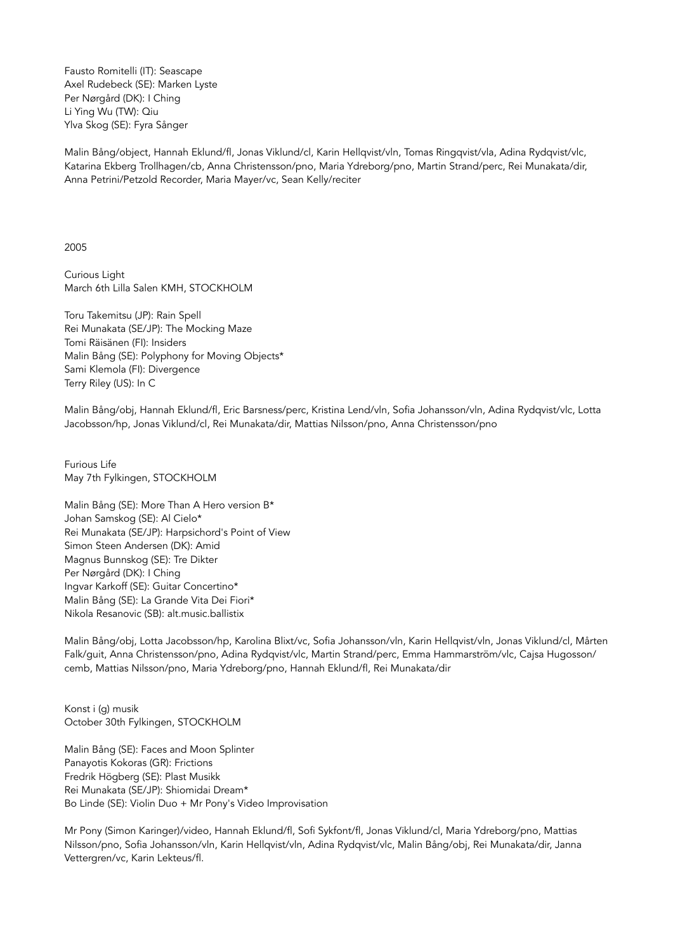Fausto Romitelli (IT): Seascape Axel Rudebeck (SE): Marken Lyste Per Nørgård (DK): I Ching Li Ying Wu (TW): Qiu Ylva Skog (SE): Fyra Sånger

Malin Bång/object, Hannah Eklund/fl, Jonas Viklund/cl, Karin Hellqvist/vln, Tomas Ringqvist/vla, Adina Rydqvist/vlc, Katarina Ekberg Trollhagen/cb, Anna Christensson/pno, Maria Ydreborg/pno, Martin Strand/perc, Rei Munakata/dir, Anna Petrini/Petzold Recorder, Maria Mayer/vc, Sean Kelly/reciter

## 2005

Curious Light March 6th Lilla Salen KMH, STOCKHOLM

Toru Takemitsu (JP): Rain Spell Rei Munakata (SE/JP): The Mocking Maze Tomi Räisänen (FI): Insiders Malin Bång (SE): Polyphony for Moving Objects\* Sami Klemola (FI): Divergence Terry Riley (US): In C

Malin Bång/obj, Hannah Eklund/fl, Eric Barsness/perc, Kristina Lend/vln, Sofia Johansson/vln, Adina Rydqvist/vlc, Lotta Jacobsson/hp, Jonas Viklund/cl, Rei Munakata/dir, Mattias Nilsson/pno, Anna Christensson/pno

Furious Life May 7th Fylkingen, STOCKHOLM

Malin Bång (SE): More Than A Hero version B\* Johan Samskog (SE): Al Cielo\* Rei Munakata (SE/JP): Harpsichord's Point of View Simon Steen Andersen (DK): Amid Magnus Bunnskog (SE): Tre Dikter Per Nørgård (DK): I Ching Ingvar Karkoff (SE): Guitar Concertino\* Malin Bång (SE): La Grande Vita Dei Fiori\* Nikola Resanovic (SB): alt.music.ballistix

Malin Bång/obj, Lotta Jacobsson/hp, Karolina Blixt/vc, Sofia Johansson/vln, Karin Hellqvist/vln, Jonas Viklund/cl, Mårten Falk/guit, Anna Christensson/pno, Adina Rydqvist/vlc, Martin Strand/perc, Emma Hammarström/vlc, Cajsa Hugosson/ cemb, Mattias Nilsson/pno, Maria Ydreborg/pno, Hannah Eklund/fl, Rei Munakata/dir

Konst i (g) musik October 30th Fylkingen, STOCKHOLM

Malin Bång (SE): Faces and Moon Splinter Panayotis Kokoras (GR): Frictions Fredrik Högberg (SE): Plast Musikk Rei Munakata (SE/JP): Shiomidai Dream\* Bo Linde (SE): Violin Duo + Mr Pony's Video Improvisation

Mr Pony (Simon Karinger)/video, Hannah Eklund/fl, Sofi Sykfont/fl, Jonas Viklund/cl, Maria Ydreborg/pno, Mattias Nilsson/pno, Sofia Johansson/vln, Karin Hellqvist/vln, Adina Rydqvist/vlc, Malin Bång/obj, Rei Munakata/dir, Janna Vettergren/vc, Karin Lekteus/fl.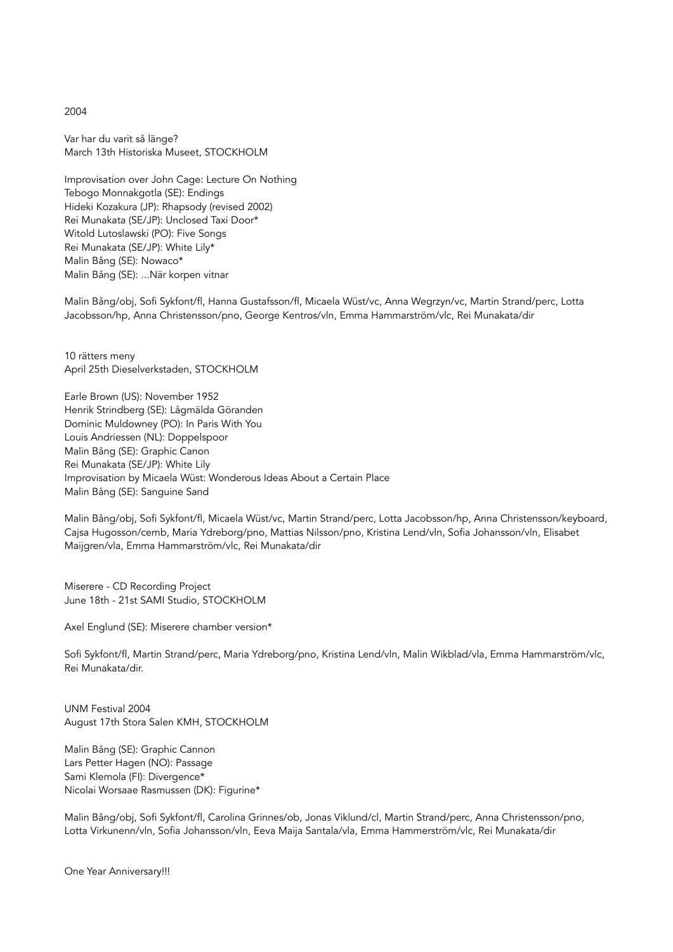2004

Var har du varit så länge? March 13th Historiska Museet, STOCKHOLM

Improvisation over John Cage: Lecture On Nothing Tebogo Monnakgotla (SE): Endings Hideki Kozakura (JP): Rhapsody (revised 2002) Rei Munakata (SE/JP): Unclosed Taxi Door\* Witold Lutoslawski (PO): Five Songs Rei Munakata (SE/JP): White Lily\* Malin Bång (SE): Nowaco\* Malin Bång (SE): ...När korpen vitnar

Malin Bång/obj, Sofi Sykfont/fl, Hanna Gustafsson/fl, Micaela Wüst/vc, Anna Wegrzyn/vc, Martin Strand/perc, Lotta Jacobsson/hp, Anna Christensson/pno, George Kentros/vln, Emma Hammarström/vlc, Rei Munakata/dir

10 rätters meny April 25th Dieselverkstaden, STOCKHOLM

Earle Brown (US): November 1952 Henrik Strindberg (SE): Lågmälda Göranden Dominic Muldowney (PO): In Paris With You Louis Andriessen (NL): Doppelspoor Malin Bång (SE): Graphic Canon Rei Munakata (SE/JP): White Lily Improvisation by Micaela Wüst: Wonderous Ideas About a Certain Place Malin Bång (SE): Sanguine Sand

Malin Bång/obj, Sofi Sykfont/fl, Micaela Wüst/vc, Martin Strand/perc, Lotta Jacobsson/hp, Anna Christensson/keyboard, Cajsa Hugosson/cemb, Maria Ydreborg/pno, Mattias Nilsson/pno, Kristina Lend/vln, Sofia Johansson/vln, Elisabet Maijgren/vla, Emma Hammarström/vlc, Rei Munakata/dir

Miserere - CD Recording Project June 18th - 21st SAMI Studio, STOCKHOLM

Axel Englund (SE): Miserere chamber version\*

Sofi Sykfont/fl, Martin Strand/perc, Maria Ydreborg/pno, Kristina Lend/vln, Malin Wikblad/vla, Emma Hammarström/vlc, Rei Munakata/dir.

UNM Festival 2004 August 17th Stora Salen KMH, STOCKHOLM

Malin Bång (SE): Graphic Cannon Lars Petter Hagen (NO): Passage Sami Klemola (FI): Divergence\* Nicolai Worsaae Rasmussen (DK): Figurine\*

Malin Bång/obj, Sofi Sykfont/fl, Carolina Grinnes/ob, Jonas Viklund/cl, Martin Strand/perc, Anna Christensson/pno, Lotta Virkunenn/vln, Sofia Johansson/vln, Eeva Maija Santala/vla, Emma Hammerström/vlc, Rei Munakata/dir

One Year Anniversary!!!